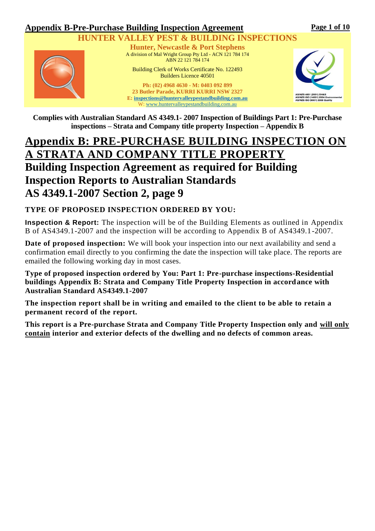**Page 1 of 10** 

## **VALLEY PEST & BUILDING INSPECTIONS**



**Hunter, Newcastle & Port Stephens** A division of Mal Wright Group Pty Ltd - ACN 121 784 174 ABN 22 121 784 174

Building Clerk of Works Certificate No. 122493 Builders Licence 40501

**Ph: (02) 4968 4630 - M: 0403 092 899 23 Butler Parade, KURRI KURRI NSW 2327 E[: inspections@huntervalleypestandbuilding.com.au](mailto:inspections@huntervalleypestandbuilding.com.au)** W: [www.huntervalleypestandbuilding.com.au](http://www.huntervalleypestandbuilding.com.au/)



**Complies with Australian Standard AS 4349.1- 2007 Inspection of Buildings Part 1: Pre-Purchase inspections – Strata and Company title property Inspection – Appendix B**

# **Appendix B: PRE-PURCHASE BUILDING INSPECTION ON A STRATA AND COMPANY TITLE PROPERTY Building Inspection Agreement as required for Building Inspection Reports to Australian Standards AS 4349.1-2007 Section 2, page 9**

## **TYPE OF PROPOSED INSPECTION ORDERED BY YOU:**

**Inspection & Report:** The inspection will be of the Building Elements as outlined in Appendix B of AS4349.1-2007 and the inspection will be according to Appendix B of AS4349.1-2007.

**Date of proposed inspection:** We will book your inspection into our next availability and send a confirmation email directly to you confirming the date the inspection will take place. The reports are emailed the following working day in most cases.

**Type of proposed inspection ordered by You: Part 1: Pre-purchase inspections-Residential buildings Appendix B: Strata and Company Title Property Inspection in accordance with Australian Standard AS4349.1-2007** 

**The inspection report shall be in writing and emailed to the client to be able to retain a permanent record of the report.**

**This report is a Pre-purchase Strata and Company Title Property Inspection only and will only contain interior and exterior defects of the dwelling and no defects of common areas.**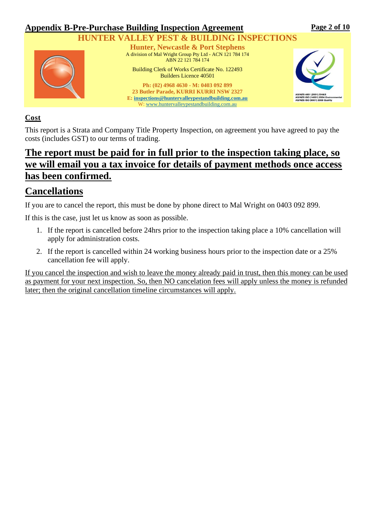

## **VALLEY PEST & BUILDING INSPECTIONS**



**Hunter, Newcastle & Port Stephens** A division of Mal Wright Group Pty Ltd - ACN 121 784 174 ABN 22 121 784 174

Building Clerk of Works Certificate No. 122493 Builders Licence 40501

**Ph: (02) 4968 4630 - M: 0403 092 899 23 Butler Parade, KURRI KURRI NSW 2327 E[: inspections@huntervalleypestandbuilding.com.au](mailto:inspections@huntervalleypestandbuilding.com.au)** W: [www.huntervalleypestandbuilding.com.au](http://www.huntervalleypestandbuilding.com.au/)



## **Cost**

This report is a Strata and Company Title Property Inspection, on agreement you have agreed to pay the costs (includes GST) to our terms of trading.

## **The report must be paid for in full prior to the inspection taking place, so we will email you a tax invoice for details of payment methods once access has been confirmed.**

# **Cancellations**

If you are to cancel the report, this must be done by phone direct to Mal Wright on 0403 092 899.

If this is the case, just let us know as soon as possible.

- 1. If the report is cancelled before 24hrs prior to the inspection taking place a 10% cancellation will apply for administration costs.
- 2. If the report is cancelled within 24 working business hours prior to the inspection date or a 25% cancellation fee will apply.

If you cancel the inspection and wish to leave the money already paid in trust, then this money can be used as payment for your next inspection. So, then NO cancelation fees will apply unless the money is refunded later; then the original cancellation timeline circumstances will apply.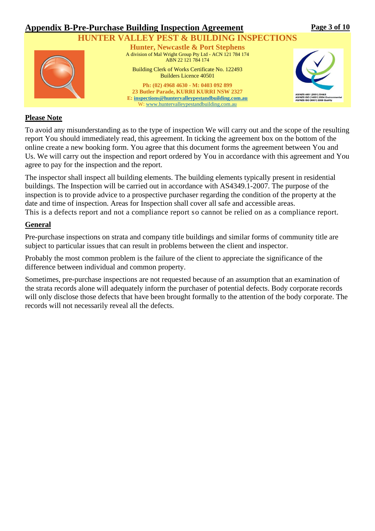

**Page 3 of 10** 

### **Please Note**

To avoid any misunderstanding as to the type of inspection We will carry out and the scope of the resulting report You should immediately read, this agreement. In ticking the agreement box on the bottom of the online create a new booking form. You agree that this document forms the agreement between You and Us. We will carry out the inspection and report ordered by You in accordance with this agreement and You agree to pay for the inspection and the report.

The inspector shall inspect all building elements. The building elements typically present in residential buildings. The Inspection will be carried out in accordance with AS4349.1-2007. The purpose of the inspection is to provide advice to a prospective purchaser regarding the condition of the property at the date and time of inspection. Areas for Inspection shall cover all safe and accessible areas. This is a defects report and not a compliance report so cannot be relied on as a compliance report.

#### **General**

Pre-purchase inspections on strata and company title buildings and similar forms of community title are subject to particular issues that can result in problems between the client and inspector.

Probably the most common problem is the failure of the client to appreciate the significance of the difference between individual and common property.

Sometimes, pre-purchase inspections are not requested because of an assumption that an examination of the strata records alone will adequately inform the purchaser of potential defects. Body corporate records will only disclose those defects that have been brought formally to the attention of the body corporate. The records will not necessarily reveal all the defects.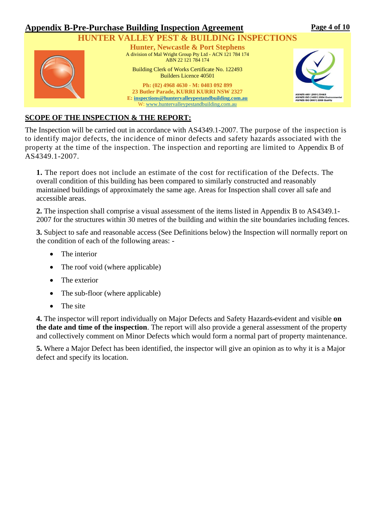

## **SCOPE OF THE INSPECTION & THE REPORT:**

The Inspection will be carried out in accordance with AS4349.1-2007. The purpose of the inspection is to identify major defects, the incidence of minor defects and safety hazards associated with the property at the time of the inspection. The inspection and reporting are limited to Appendix B of AS4349.1-2007.

**1.** The report does not include an estimate of the cost for rectification of the Defects. The overall condition of this building has been compared to similarly constructed and reasonably maintained buildings of approximately the same age. Areas for Inspection shall cover all safe and accessible areas.

**2.** The inspection shall comprise a visual assessment of the items listed in Appendix B to AS4349.1- 2007 for the structures within 30 metres of the building and within the site boundaries including fences.

**3.** Subject to safe and reasonable access (See Definitions below) the Inspection will normally report on the condition of each of the following areas: -

- The interior
- The roof void (where applicable)
- The exterior
- The sub-floor (where applicable)
- The site

**4.** The inspector will report individually on Major Defects and Safety Hazards evident and visible **on the date and time of the inspection**. The report will also provide a general assessment of the property and collectively comment on Minor Defects which would form a normal part of property maintenance.

**5.** Where a Major Defect has been identified, the inspector will give an opinion as to why it is a Major defect and specify its location.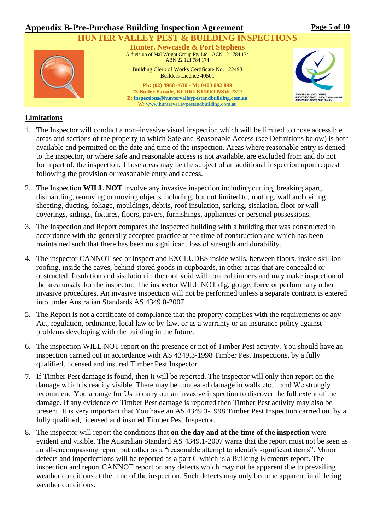

### **Limitations**

- 1. The Inspector will conduct a non–invasive visual inspection which will be limited to those accessible areas and sections of the property to which Safe and Reasonable Access (see Definitions below) is both available and permitted on the date and time of the inspection. Areas where reasonable entry is denied to the inspector, or where safe and reasonable access is not available, are excluded from and do not form part of, the inspection. Those areas may be the subject of an additional inspection upon request following the provision or reasonable entry and access.
- 2. The Inspection **WILL NOT** involve any invasive inspection including cutting, breaking apart, dismantling, removing or moving objects including, but not limited to, roofing, wall and ceiling sheeting, ducting, foliage, mouldings, debris, roof insulation, sarking, sisalation, floor or wall coverings, sidings, fixtures, floors, pavers, furnishings, appliances or personal possessions.
- 3. The Inspection and Report compares the inspected building with a building that was constructed in accordance with the generally accepted practice at the time of construction and which has been maintained such that there has been no significant loss of strength and durability.
- 4. The inspector CANNOT see or inspect and EXCLUDES inside walls, between floors, inside skillion roofing, inside the eaves, behind stored goods in cupboards, in other areas that are concealed or obstructed. Insulation and sisalation in the roof void will conceal timbers and may make inspection of the area unsafe for the inspector. The inspector WILL NOT dig, gouge, force or perform any other invasive procedures. An invasive inspection will not be performed unless a separate contract is entered into under Australian Standards AS 4349.0-2007.
- 5. The Report is not a certificate of compliance that the property complies with the requirements of any Act, regulation, ordinance, local law or by-law, or as a warranty or an insurance policy against problems developing with the building in the future.
- 6. The inspection WILL NOT report on the presence or not of Timber Pest activity. You should have an inspection carried out in accordance with AS 4349.3-1998 Timber Pest Inspections, by a fully qualified, licensed and insured Timber Pest Inspector.
- 7. If Timber Pest damage is found, then it will be reported. The inspector will only then report on the damage which is readily visible. There may be concealed damage in walls etc… and We strongly recommend You arrange for Us to carry out an invasive inspection to discover the full extent of the damage. If any evidence of Timber Pest damage is reported then Timber Pest activity may also be present. It is very important that You have an AS 4349.3-1998 Timber Pest Inspection carried out by a fully qualified, licensed and insured Timber Pest Inspector.
- 8. The inspector will report the conditions that **on the day and at the time of the inspection** were evident and visible. The Australian Standard AS 4349.1-2007 warns that the report must not be seen as an all-encompassing report but rather as a "reasonable attempt to identify significant items". Minor defects and imperfections will be reported as a part C which is a Building Elements report. The inspection and report CANNOT report on any defects which may not be apparent due to prevailing weather conditions at the time of the inspection. Such defects may only become apparent in differing weather conditions.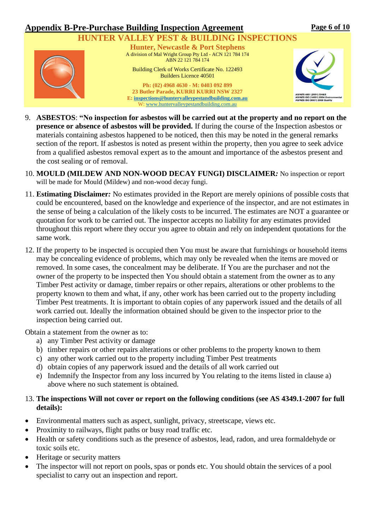#### **Appendix B-Pre-Purchase Building Inspection Agreement HUNTER VALLEY PEST & BUILDING INSPECTIONS Hunter, Newcastle & Port Stephens** A division of Mal Wright Group Pty Ltd - ACN 121 784 174 ABN 22 121 784 174 Building Clerk of Works Certificate No. 122493 Builders Licence 40501 **Ph: (02) 4968 4630 - M: 0403 092 899 23 Butler Parade, KURRI KURRI NSW 2327 E[: inspections@huntervalleypestandbuilding.com.au](mailto:inspections@huntervalleypestandbuilding.com.au) Page 6 of 10**

9. **ASBESTOS**: **"No inspection for asbestos will be carried out at the property and no report on the presence or absence of asbestos will be provided.** If during the course of the Inspection asbestos or materials containing asbestos happened to be noticed, then this may be noted in the general remarks section of the report. If asbestos is noted as present within the property, then you agree to seek advice from a qualified asbestos removal expert as to the amount and importance of the asbestos present and the cost sealing or of removal.

W: [www.huntervalleypestandbuilding.com.au](http://www.huntervalleypestandbuilding.com.au/)

- 10. **MOULD (MILDEW AND NON-WOOD DECAY FUNGI) DISCLAIMER***:* No inspection or report will be made for Mould (Mildew) and non-wood decay fungi.
- 11. **Estimating Disclaimer***:* No estimates provided in the Report are merely opinions of possible costs that could be encountered, based on the knowledge and experience of the inspector, and are not estimates in the sense of being a calculation of the likely costs to be incurred. The estimates are NOT a guarantee or quotation for work to be carried out. The inspector accepts no liability for any estimates provided throughout this report where they occur you agree to obtain and rely on independent quotations for the same work.
- 12. If the property to be inspected is occupied then You must be aware that furnishings or household items may be concealing evidence of problems, which may only be revealed when the items are moved or removed. In some cases, the concealment may be deliberate. If You are the purchaser and not the owner of the property to be inspected then You should obtain a statement from the owner as to any Timber Pest activity or damage, timber repairs or other repairs, alterations or other problems to the property known to them and what, if any, other work has been carried out to the property including Timber Pest treatments. It is important to obtain copies of any paperwork issued and the details of all work carried out. Ideally the information obtained should be given to the inspector prior to the inspection being carried out.

Obtain a statement from the owner as to:

- a) any Timber Pest activity or damage
- b) timber repairs or other repairs alterations or other problems to the property known to them
- c) any other work carried out to the property including Timber Pest treatments
- d) obtain copies of any paperwork issued and the details of all work carried out
- e) Indemnify the Inspector from any loss incurred by You relating to the items listed in clause a) above where no such statement is obtained.

### 13. **The inspections Will not cover or report on the following conditions (see AS 4349.1-2007 for full details):**

- Environmental matters such as aspect, sunlight, privacy, streetscape, views etc.
- Proximity to railways, flight paths or busy road traffic etc.
- Health or safety conditions such as the presence of asbestos, lead, radon, and urea formaldehyde or toxic soils etc.
- Heritage or security matters
- The inspector will not report on pools, spas or ponds etc. You should obtain the services of a pool specialist to carry out an inspection and report.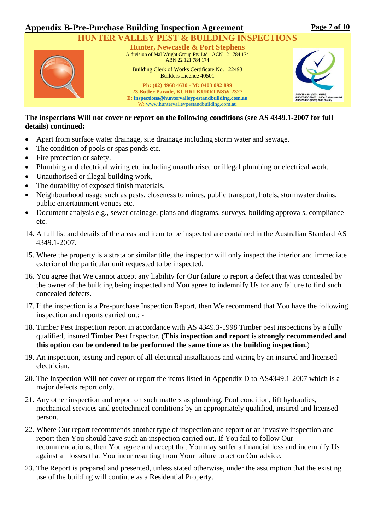## **HER VALLEY PEST & BUILDING INSPECTIONS**



**Hunter, Newcastle & Port Stephens** A division of Mal Wright Group Pty Ltd - ACN 121 784 174 ABN 22 121 784 174

Building Clerk of Works Certificate No. 122493 Builders Licence 40501

**Ph: (02) 4968 4630 - M: 0403 092 899 23 Butler Parade, KURRI KURRI NSW 2327 E[: inspections@huntervalleypestandbuilding.com.au](mailto:inspections@huntervalleypestandbuilding.com.au)** W: [www.huntervalleypestandbuilding.com.au](http://www.huntervalleypestandbuilding.com.au/)



#### **The inspections Will not cover or report on the following conditions (see AS 4349.1-2007 for full details) continued:**

- Apart from surface water drainage, site drainage including storm water and sewage.
- The condition of pools or spas ponds etc.
- Fire protection or safety.
- Plumbing and electrical wiring etc including unauthorised or illegal plumbing or electrical work.
- Unauthorised or illegal building work,
- The durability of exposed finish materials.
- Neighbourhood usage such as pests, closeness to mines, public transport, hotels, stormwater drains, public entertainment venues etc.
- Document analysis e.g., sewer drainage, plans and diagrams, surveys, building approvals, compliance etc.
- 14. A full list and details of the areas and item to be inspected are contained in the Australian Standard AS 4349.1-2007.
- 15. Where the property is a strata or similar title, the inspector will only inspect the interior and immediate exterior of the particular unit requested to be inspected.
- 16. You agree that We cannot accept any liability for Our failure to report a defect that was concealed by the owner of the building being inspected and You agree to indemnify Us for any failure to find such concealed defects.
- 17. If the inspection is a Pre-purchase Inspection Report, then We recommend that You have the following inspection and reports carried out: -
- 18. Timber Pest Inspection report in accordance with AS 4349.3-1998 Timber pest inspections by a fully qualified, insured Timber Pest Inspector. (**This inspection and report is strongly recommended and this option can be ordered to be performed the same time as the building inspection.**)
- 19. An inspection, testing and report of all electrical installations and wiring by an insured and licensed electrician.
- 20. The Inspection Will not cover or report the items listed in Appendix D to AS4349.1-2007 which is a major defects report only.
- 21. Any other inspection and report on such matters as plumbing, Pool condition, lift hydraulics, mechanical services and geotechnical conditions by an appropriately qualified, insured and licensed person.
- 22. Where Our report recommends another type of inspection and report or an invasive inspection and report then You should have such an inspection carried out. If You fail to follow Our recommendations, then You agree and accept that You may suffer a financial loss and indemnify Us against all losses that You incur resulting from Your failure to act on Our advice.
- 23. The Report is prepared and presented, unless stated otherwise, under the assumption that the existing use of the building will continue as a Residential Property.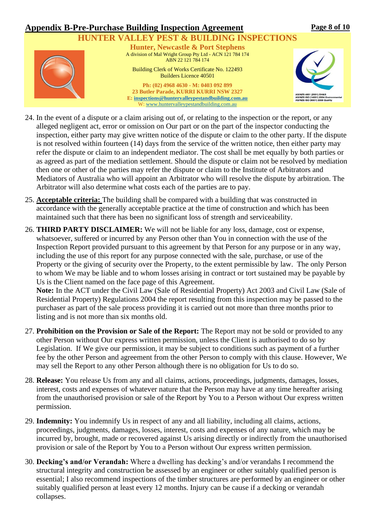## **HUNTER VALLEY PEST & BUILDING INSPECTIONS**



**Hunter, Newcastle & Port Stephens** A division of Mal Wright Group Pty Ltd - ACN 121 784 174 ABN 22 121 784 174 Building Clerk of Works Certificate No. 122493

Builders Licence 40501

**Ph: (02) 4968 4630 - M: 0403 092 899 23 Butler Parade, KURRI KURRI NSW 2327 E[: inspections@huntervalleypestandbuilding.com.au](mailto:inspections@huntervalleypestandbuilding.com.au)** W: [www.huntervalleypestandbuilding.com.au](http://www.huntervalleypestandbuilding.com.au/)



- 24. In the event of a dispute or a claim arising out of, or relating to the inspection or the report, or any alleged negligent act, error or omission on Our part or on the part of the inspector conducting the inspection, either party may give written notice of the dispute or claim to the other party. If the dispute is not resolved within fourteen (14) days from the service of the written notice, then either party may refer the dispute or claim to an independent mediator. The cost shall be met equally by both parties or as agreed as part of the mediation settlement. Should the dispute or claim not be resolved by mediation then one or other of the parties may refer the dispute or claim to the Institute of Arbitrators and Mediators of Australia who will appoint an Arbitrator who will resolve the dispute by arbitration. The Arbitrator will also determine what costs each of the parties are to pay.
- 25. **Acceptable criteria:** The building shall be compared with a building that was constructed in accordance with the generally acceptable practice at the time of construction and which has been maintained such that there has been no significant loss of strength and serviceability.
- 26. **THIRD PARTY DISCLAIMER:** We will not be liable for any loss, damage, cost or expense, whatsoever, suffered or incurred by any Person other than You in connection with the use of the Inspection Report provided pursuant to this agreement by that Person for any purpose or in any way, including the use of this report for any purpose connected with the sale, purchase, or use of the Property or the giving of security over the Property, to the extent permissible by law. The only Person to whom We may be liable and to whom losses arising in contract or tort sustained may be payable by Us is the Client named on the face page of this Agreement.

**Note:** In the ACT under the Civil Law (Sale of Residential Property) Act 2003 and Civil Law (Sale of Residential Property) Regulations 2004 the report resulting from this inspection may be passed to the purchaser as part of the sale process providing it is carried out not more than three months prior to listing and is not more than six months old.

- 27. **Prohibition on the Provision or Sale of the Report:** The Report may not be sold or provided to any other Person without Our express written permission, unless the Client is authorised to do so by Legislation. If We give our permission, it may be subject to conditions such as payment of a further fee by the other Person and agreement from the other Person to comply with this clause. However, We may sell the Report to any other Person although there is no obligation for Us to do so.
- 28. **Release:** You release Us from any and all claims, actions, proceedings, judgments, damages, losses, interest, costs and expenses of whatever nature that the Person may have at any time hereafter arising from the unauthorised provision or sale of the Report by You to a Person without Our express written permission.
- 29. **Indemnity:** You indemnify Us in respect of any and all liability, including all claims, actions, proceedings, judgments, damages, losses, interest, costs and expenses of any nature, which may be incurred by, brought, made or recovered against Us arising directly or indirectly from the unauthorised provision or sale of the Report by You to a Person without Our express written permission.
- 30. **Decking's and/or Verandah:** Where a dwelling has decking's and/or verandahs I recommend the structural integrity and construction be assessed by an engineer or other suitably qualified person is essential; I also recommend inspections of the timber structures are performed by an engineer or other suitably qualified person at least every 12 months. Injury can be cause if a decking or verandah collapses.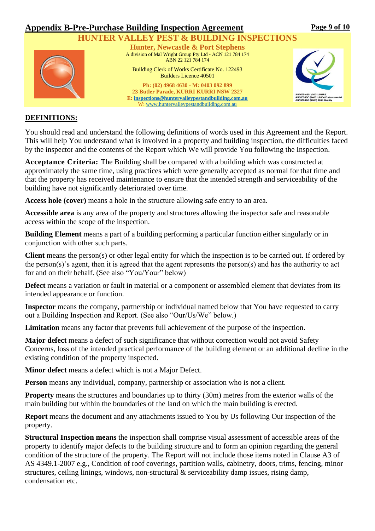

**Page 9 of 10** 

#### **DEFINITIONS:**

You should read and understand the following definitions of words used in this Agreement and the Report. This will help You understand what is involved in a property and building inspection, the difficulties faced by the inspector and the contents of the Report which We will provide You following the Inspection.

**Acceptance Criteria:** The Building shall be compared with a building which was constructed at approximately the same time, using practices which were generally accepted as normal for that time and that the property has received maintenance to ensure that the intended strength and serviceability of the building have not significantly deteriorated over time.

**Access hole (cover)** means a hole in the structure allowing safe entry to an area.

**Accessible area** is any area of the property and structures allowing the inspector safe and reasonable access within the scope of the inspection.

**Building Element** means a part of a building performing a particular function either singularly or in conjunction with other such parts.

**Client** means the person(s) or other legal entity for which the inspection is to be carried out. If ordered by the person(s)'s agent, then it is agreed that the agent represents the person(s) and has the authority to act for and on their behalf. (See also "You/Your" below)

**Defect** means a variation or fault in material or a component or assembled element that deviates from its intended appearance or function.

**Inspector** means the company, partnership or individual named below that You have requested to carry out a Building Inspection and Report. (See also "Our/Us/We" below.)

**Limitation** means any factor that prevents full achievement of the purpose of the inspection.

**Major defect** means a defect of such significance that without correction would not avoid Safety Concerns, loss of the intended practical performance of the building element or an additional decline in the existing condition of the property inspected.

**Minor defect** means a defect which is not a Major Defect.

**Person** means any individual, company, partnership or association who is not a client*.*

**Property** means the structures and boundaries up to thirty (30m) metres from the exterior walls of the main building but within the boundaries of the land on which the main building is erected.

**Report** means the document and any attachments issued to You by Us following Our inspection of the property.

**Structural Inspection means** the inspection shall comprise visual assessment of accessible areas of the property to identify major defects to the building structure and to form an opinion regarding the general condition of the structure of the property. The Report will not include those items noted in Clause A3 of AS 4349.1-2007 e.g., Condition of roof coverings, partition walls, cabinetry, doors, trims, fencing, minor structures, ceiling linings, windows, non-structural & serviceability damp issues, rising damp, condensation etc.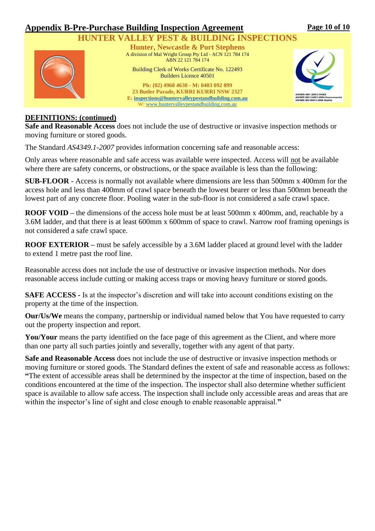

**Page 10 of 10** 

#### **DEFINITIONS: (continued)**

**Safe and Reasonable Access** does not include the use of destructive or invasive inspection methods or moving furniture or stored goods.

The Standard *AS4349.1-2007* provides information concerning safe and reasonable access:

Only areas where reasonable and safe access was available were inspected. Access will not be available where there are safety concerns, or obstructions, or the space available is less than the following:

**SUB-FLOOR** - Access is normally not available where dimensions are less than 500mm x 400mm for the access hole and less than 400mm of crawl space beneath the lowest bearer or less than 500mm beneath the lowest part of any concrete floor. Pooling water in the sub-floor is not considered a safe crawl space.

**ROOF VOID –** the dimensions of the access hole must be at least 500mm x 400mm, and, reachable by a 3.6M ladder, and that there is at least 600mm x 600mm of space to crawl. Narrow roof framing openings is not considered a safe crawl space.

**ROOF EXTERIOR –** must be safely accessible by a 3.6M ladder placed at ground level with the ladder to extend 1 metre past the roof line.

Reasonable access does not include the use of destructive or invasive inspection methods. Nor does reasonable access include cutting or making access traps or moving heavy furniture or stored goods.

**SAFE ACCESS -** Is at the inspector's discretion and will take into account conditions existing on the property at the time of the inspection.

**Our/Us/We** means the company, partnership or individual named below that You have requested to carry out the property inspection and report.

You/Your means the party identified on the face page of this agreement as the Client, and where more than one party all such parties jointly and severally, together with any agent of that party.

**Safe and Reasonable Access** does not include the use of destructive or invasive inspection methods or moving furniture or stored goods. The Standard defines the extent of safe and reasonable access as follows: **"**The extent of accessible areas shall be determined by the inspector at the time of inspection, based on the conditions encountered at the time of the inspection. The inspector shall also determine whether sufficient space is available to allow safe access. The inspection shall include only accessible areas and areas that are within the inspector's line of sight and close enough to enable reasonable appraisal.**"**